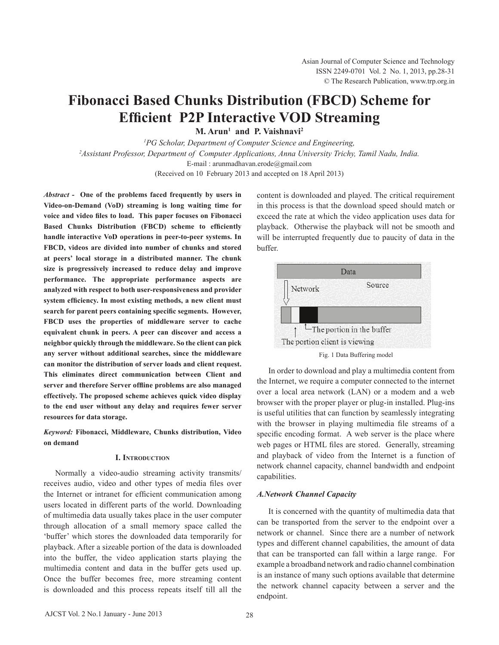# **Fibonacci Based Chunks Distribution (FBCD) Scheme for Efficient P2P Interactive VOD Streaming**

**M. Arun1 and P. Vaishnavi2**

*1 PG Scholar, Department of Computer Science and Engineering, 2 Assistant Professor, Department of Computer Applications, Anna University Trichy, Tamil Nadu, India.*

E-mail : arunmadhavan.erode@gmail.com

(Received on 10 February 2013 and accepted on 18 April 2013)

*Abstract -* **One of the problems faced frequently by users in Video-on-Demand (VoD) streaming is long waiting time for voice and video files to load. This paper focuses on Fibonacci Based Chunks Distribution (FBCD) scheme to efficiently handle interactive VoD operations in peer-to-peer systems. In FBCD, videos are divided into number of chunks and stored at peers' local storage in a distributed manner. The chunk size is progressively increased to reduce delay and improve performance. The appropriate performance aspects are analyzed with respect to both user-responsiveness and provider system efficiency. In most existing methods, a new client must search for parent peers containing specific segments. However, FBCD uses the properties of middleware server to cache equivalent chunk in peers. A peer can discover and access a neighbor quickly through the middleware. So the client can pick any server without additional searches, since the middleware can monitor the distribution of server loads and client request. This eliminates direct communication between Client and server and therefore Server offline problems are also managed effectively. The proposed scheme achieves quick video display to the end user without any delay and requires fewer server resources for data storage.**

## *Keyword:* **Fibonacci, Middleware, Chunks distribution, Video on demand**

## **I. Introduction**

Normally a video-audio streaming activity transmits/ receives audio, video and other types of media files over the Internet or intranet for efficient communication among users located in different parts of the world. Downloading of multimedia data usually takes place in the user computer through allocation of a small memory space called the 'buffer' which stores the downloaded data temporarily for playback. After a sizeable portion of the data is downloaded into the buffer, the video application starts playing the multimedia content and data in the buffer gets used up. Once the buffer becomes free, more streaming content is downloaded and this process repeats itself till all the content is downloaded and played. The critical requirement in this process is that the download speed should match or exceed the rate at which the video application uses data for playback. Otherwise the playback will not be smooth and will be interrupted frequently due to paucity of data in the buffer.



In order to download and play a multimedia content from the Internet, we require a computer connected to the internet over a local area network (LAN) or a modem and a web browser with the proper player or plug-in installed. Plug-ins is useful utilities that can function by seamlessly integrating with the browser in playing multimedia file streams of a specific encoding format. A web server is the place where web pages or HTML files are stored. Generally, streaming and playback of video from the Internet is a function of network channel capacity, channel bandwidth and endpoint capabilities.

## *A.Network Channel Capacity*

It is concerned with the quantity of multimedia data that can be transported from the server to the endpoint over a network or channel. Since there are a number of network types and different channel capabilities, the amount of data that can be transported can fall within a large range. For example a broadband network and radio channel combination is an instance of many such options available that determine the network channel capacity between a server and the endpoint.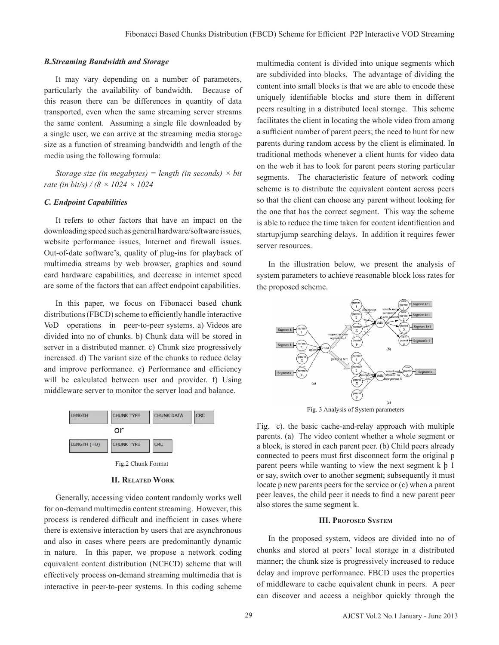## *B.Streaming Bandwidth and Storage*

It may vary depending on a number of parameters, particularly the availability of bandwidth. Because of this reason there can be differences in quantity of data transported, even when the same streaming server streams the same content. Assuming a single file downloaded by a single user, we can arrive at the streaming media storage size as a function of streaming bandwidth and length of the media using the following formula:

*Storage size (in megabytes) = length (in seconds) × bit rate (in bit/s) / (8 × 1024 × 1024*

## *C. Endpoint Capabilities*

It refers to other factors that have an impact on the downloading speed such as general hardware/software issues, website performance issues, Internet and firewall issues. Out-of-date software's, quality of plug-ins for playback of multimedia streams by web browser, graphics and sound card hardware capabilities, and decrease in internet speed are some of the factors that can affect endpoint capabilities.

In this paper, we focus on Fibonacci based chunk distributions (FBCD) scheme to efficiently handle interactive VoD operations in peer-to-peer systems. a) Videos are divided into no of chunks. b) Chunk data will be stored in server in a distributed manner. c) Chunk size progressively increased. d) The variant size of the chunks to reduce delay and improve performance. e) Performance and efficiency will be calculated between user and provider. f) Using middleware server to monitor the server load and balance.



#### **II. Related Work**

Generally, accessing video content randomly works well for on-demand multimedia content streaming. However, this process is rendered difficult and inefficient in cases where there is extensive interaction by users that are asynchronous and also in cases where peers are predominantly dynamic in nature. In this paper, we propose a network coding equivalent content distribution (NCECD) scheme that will effectively process on-demand streaming multimedia that is interactive in peer-to-peer systems. In this coding scheme multimedia content is divided into unique segments which are subdivided into blocks. The advantage of dividing the content into small blocks is that we are able to encode these uniquely identifiable blocks and store them in different peers resulting in a distributed local storage. This scheme facilitates the client in locating the whole video from among a sufficient number of parent peers; the need to hunt for new parents during random access by the client is eliminated. In traditional methods whenever a client hunts for video data on the web it has to look for parent peers storing particular segments. The characteristic feature of network coding scheme is to distribute the equivalent content across peers so that the client can choose any parent without looking for the one that has the correct segment. This way the scheme is able to reduce the time taken for content identification and startup/jump searching delays. In addition it requires fewer server resources.

In the illustration below, we present the analysis of system parameters to achieve reasonable block loss rates for the proposed scheme.



Fig. 3 Analysis of System parameters

Fig. c). the basic cache-and-relay approach with multiple parents. (a) The video content whether a whole segment or a block, is stored in each parent peer. (b) Child peers already connected to peers must first disconnect form the original p parent peers while wanting to view the next segment k þ 1 or say, switch over to another segment; subsequently it must locate p new parents peers for the service or (c) when a parent peer leaves, the child peer it needs to find a new parent peer also stores the same segment k.

#### **III. Proposed System**

In the proposed system, videos are divided into no of chunks and stored at peers' local storage in a distributed manner; the chunk size is progressively increased to reduce delay and improve performance. FBCD uses the properties of middleware to cache equivalent chunk in peers. A peer can discover and access a neighbor quickly through the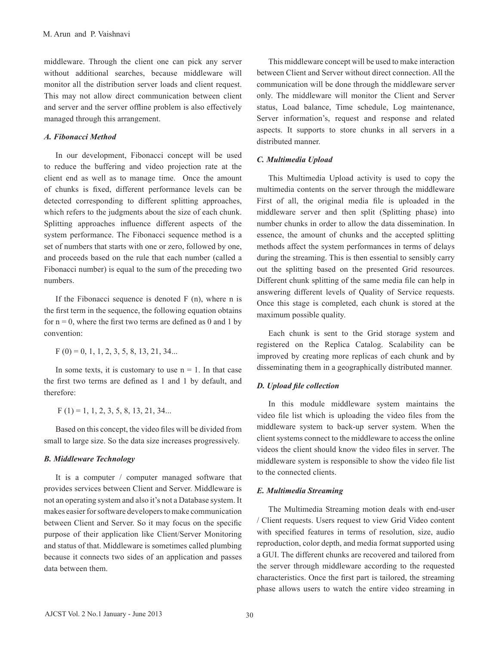middleware. Through the client one can pick any server without additional searches, because middleware will monitor all the distribution server loads and client request. This may not allow direct communication between client and server and the server offline problem is also effectively managed through this arrangement.

## *A. Fibonacci Method*

In our development, Fibonacci concept will be used to reduce the buffering and video projection rate at the client end as well as to manage time. Once the amount of chunks is fixed, different performance levels can be detected corresponding to different splitting approaches, which refers to the judgments about the size of each chunk. Splitting approaches influence different aspects of the system performance. The Fibonacci sequence method is a set of numbers that starts with one or zero, followed by one, and proceeds based on the rule that each number (called a Fibonacci number) is equal to the sum of the preceding two numbers.

If the Fibonacci sequence is denoted  $F(n)$ , where n is the first term in the sequence, the following equation obtains for  $n = 0$ , where the first two terms are defined as 0 and 1 by convention:

 $F(0) = 0, 1, 1, 2, 3, 5, 8, 13, 21, 34...$ 

In some texts, it is customary to use  $n = 1$ . In that case the first two terms are defined as 1 and 1 by default, and therefore:

 $F(1) = 1, 1, 2, 3, 5, 8, 13, 21, 34...$ 

 Based on this concept, the video files will be divided from small to large size. So the data size increases progressively.

## *B. Middleware Technology*

It is a computer / computer managed software that provides services between Client and Server. Middleware is not an operating system and also it's not a Database system. It makes easier for software developers to make communication between Client and Server. So it may focus on the specific purpose of their application like Client/Server Monitoring and status of that. Middleware is sometimes called plumbing because it connects two sides of an application and passes data between them.

This middleware concept will be used to make interaction between Client and Server without direct connection. All the communication will be done through the middleware server only. The middleware will monitor the Client and Server status, Load balance, Time schedule, Log maintenance, Server information's, request and response and related aspects. It supports to store chunks in all servers in a distributed manner.

## *C. Multimedia Upload*

This Multimedia Upload activity is used to copy the multimedia contents on the server through the middleware First of all, the original media file is uploaded in the middleware server and then split (Splitting phase) into number chunks in order to allow the data dissemination. In essence, the amount of chunks and the accepted splitting methods affect the system performances in terms of delays during the streaming. This is then essential to sensibly carry out the splitting based on the presented Grid resources. Different chunk splitting of the same media file can help in answering different levels of Quality of Service requests. Once this stage is completed, each chunk is stored at the maximum possible quality.

Each chunk is sent to the Grid storage system and registered on the Replica Catalog. Scalability can be improved by creating more replicas of each chunk and by disseminating them in a geographically distributed manner.

## *D. Upload file collection*

In this module middleware system maintains the video file list which is uploading the video files from the middleware system to back-up server system. When the client systems connect to the middleware to access the online videos the client should know the video files in server. The middleware system is responsible to show the video file list to the connected clients.

## *E. Multimedia Streaming*

The Multimedia Streaming motion deals with end-user / Client requests. Users request to view Grid Video content with specified features in terms of resolution, size, audio reproduction, color depth, and media format supported using a GUI. The different chunks are recovered and tailored from the server through middleware according to the requested characteristics. Once the first part is tailored, the streaming phase allows users to watch the entire video streaming in